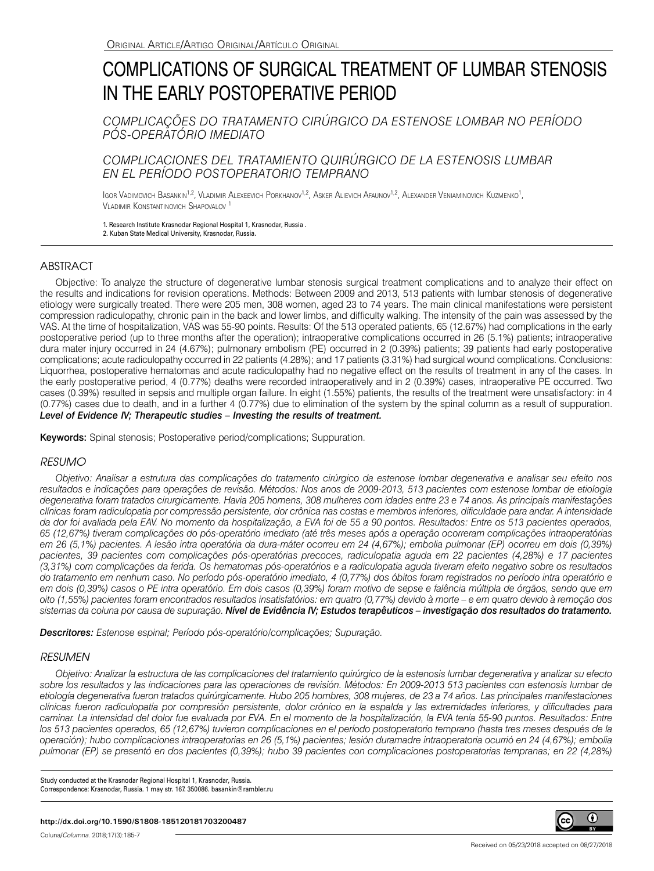# COMPLICATIONS OF SURGICAL TREATMENT OF LUMBAR STENOSIS IN THE EARLY POSTOPERATIVE PERIOD

*COMPLICAÇÕES DO TRATAMENTO CIRÚRGICO DA ESTENOSE LOMBAR NO PERÍODO PÓS-OPERATÓRIO IMEDIATO*

## *COMPLICACIONES DEL TRATAMIENTO QUIRÚRGICO DE LA ESTENOSIS LUMBAR EN EL PERÍODO POSTOPERATORIO TEMPRANO*

Igor Vadimovich Basankin<sup>1,2</sup>, Vladimir Alexeevich Porkhanov<sup>1,2</sup>, Asker Alievich Afaunov<sup>1,2</sup>, Alexander Veniaminovich Kuzmenko<sup>1</sup>, Vladimir Konstantinovich Shapovalov <sup>1</sup>

1. Research Institute Krasnodar Regional Hospital 1, Krasnodar, Russia . 2. Kuban State Medical University, Krasnodar, Russia.

# ABSTRACT

Objective: To analyze the structure of degenerative lumbar stenosis surgical treatment complications and to analyze their effect on the results and indications for revision operations. Methods: Between 2009 and 2013, 513 patients with lumbar stenosis of degenerative etiology were surgically treated. There were 205 men, 308 women, aged 23 to 74 years. The main clinical manifestations were persistent compression radiculopathy, chronic pain in the back and lower limbs, and difficulty walking. The intensity of the pain was assessed by the VAS. At the time of hospitalization, VAS was 55-90 points. Results: Of the 513 operated patients, 65 (12.67%) had complications in the early postoperative period (up to three months after the operation); intraoperative complications occurred in 26 (5.1%) patients; intraoperative dura mater injury occurred in 24 (4.67%); pulmonary embolism (PE) occurred in 2 (0.39%) patients; 39 patients had early postoperative complications; acute radiculopathy occurred in 22 patients (4.28%); and 17 patients (3.31%) had surgical wound complications. Conclusions: Liquorrhea, postoperative hematomas and acute radiculopathy had no negative effect on the results of treatment in any of the cases. In the early postoperative period, 4 (0.77%) deaths were recorded intraoperatively and in 2 (0.39%) cases, intraoperative PE occurred. Two cases (0.39%) resulted in sepsis and multiple organ failure. In eight (1.55%) patients, the results of the treatment were unsatisfactory: in 4 (0.77%) cases due to death, and in a further 4 (0.77%) due to elimination of the system by the spinal column as a result of suppuration. *Level of Evidence IV; Therapeutic studies – Investing the results of treatment.*

Keywords: Spinal stenosis; Postoperative period/complications; Suppuration.

## *RESUMO*

*Objetivo: Analisar a estrutura das complicações do tratamento cirúrgico da estenose lombar degenerativa e analisar seu efeito nos resultados e indicações para operações de revisão. Métodos: Nos anos de 2009-2013, 513 pacientes com estenose lombar de etiologia degenerativa foram tratados cirurgicamente. Havia 205 homens, 308 mulheres com idades entre 23 e 74 anos. As principais manifestações clínicas foram radiculopatia por compressão persistente, dor crônica nas costas e membros inferiores, dificuldade para andar. A intensidade da dor foi avaliada pela EAV. No momento da hospitalização, a EVA foi de 55 a 90 pontos. Resultados: Entre os 513 pacientes operados, 65 (12,67%) tiveram complicações do pós-operatório imediato (até três meses após a operação ocorreram complicações intraoperatórias em 26 (5,1%) pacientes. A lesão intra operatória da dura-máter ocorreu em 24 (4,67%); embolia pulmonar (EP) ocorreu em dois (0,39%) pacientes, 39 pacientes com complicações pós-operatórias precoces, radiculopatia aguda em 22 pacientes (4,28%) e 17 pacientes (3,31%) com complicações da ferida. Os hematomas pós-operatórios e a radiculopatia aguda tiveram efeito negativo sobre os resultados do tratamento em nenhum caso. No período pós-operatório imediato, 4 (0,77%) dos óbitos foram registrados no período intra operatório e em dois (0,39%) casos o PE intra operatório. Em dois casos (0,39%) foram motivo de sepse e falência múltipla de órgãos, sendo que em oito (1,55%) pacientes foram encontrados resultados insatisfatórios: em quatro (0,77%) devido à morte – e em quatro devido à remoção dos sistemas da coluna por causa de supuração. Nível de Evidência IV; Estudos terapêuticos – investigação dos resultados do tratamento.*

*Descritores: Estenose espinal; Período pós-operatório/complicações; Supuração.*

### *RESUMEN*

*Objetivo: Analizar la estructura de las complicaciones del tratamiento quirúrgico de la estenosis lumbar degenerativa y analizar su efecto sobre los resultados y las indicaciones para las operaciones de revisión. Métodos: En 2009-2013 513 pacientes con estenosis lumbar de etiología degenerativa fueron tratados quirúrgicamente. Hubo 205 hombres, 308 mujeres, de 23 a 74 años. Las principales manifestaciones clínicas fueron radiculopatía por compresión persistente, dolor crónico en la espalda y las extremidades inferiores, y dificultades para caminar. La intensidad del dolor fue evaluada por EVA. En el momento de la hospitalización, la EVA tenía 55-90 puntos. Resultados: Entre los 513 pacientes operados, 65 (12,67%) tuvieron complicaciones en el período postoperatorio temprano (hasta tres meses después de la operación); hubo complicaciones intraoperatorias en 26 (5,1%) pacientes; lesión duramadre intraoperatoria ocurrió en 24 (4,67%); embolia pulmonar (EP) se presentó en dos pacientes (0,39%); hubo 39 pacientes con complicaciones postoperatorias tempranas; en 22 (4,28%)* 

Study conducted at the Krasnodar Regional Hospital 1, Krasnodar, Russia. Correspondence: Krasnodar, Russia. 1 may str. 167. 350086. basankin@rambler.ru

#### **http://dx.doi.org/10.1590/S1808-185120181703200487**

Coluna/*Columna*. 2018;17(3):185-7

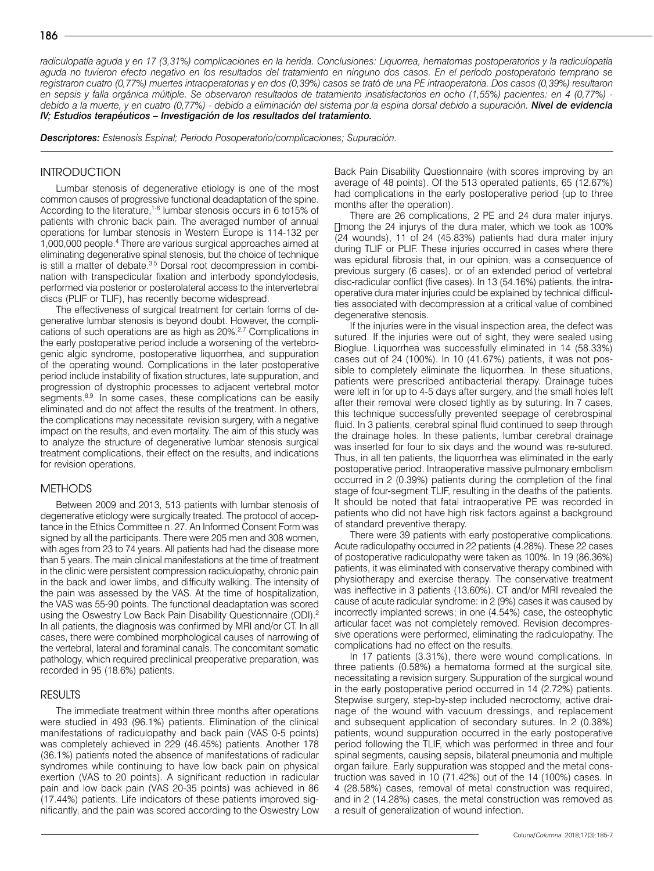*radiculopatía aguda y en 17 (3,31%) complicaciones en la herida. Conclusiones: Liquorrea, hematomas postoperatorios y la radiculopatía aguda no tuvieron efecto negativo en los resultados del tratamiento en ninguno dos casos. En el período postoperatorio temprano se registraron cuatro (0,77%) muertes intraoperatorias y en dos (0,39%) casos se trató de una PE intraoperatoria. Dos casos (0,39%) resultaron en sepsis y falla orgánica múltiple. Se observaron resultados de tratamiento insatisfactorios en ocho (1,55%) pacientes: en 4 (0,77%) debido a la muerte, y en cuatro (0,77%) - debido a eliminación del sistema por la espina dorsal debido a supuración. Nivel de evidencia IV; Estudios terapéuticos – Investigación de los resultados del tratamiento.*

*Descriptores: Estenosis Espinal; Periodo Posoperatorio/complicaciones; Supuración.*

## **INTRODUCTION**

Lumbar stenosis of degenerative etiology is one of the most common causes of progressive functional deadaptation of the spine. According to the literature,<sup>1-6</sup> lumbar stenosis occurs in 6 to15% of patients with chronic back pain. The averaged number of annual operations for lumbar stenosis in Western Europe is 114-132 per 1,000,000 people.4 There are various surgical approaches aimed at eliminating degenerative spinal stenosis, but the choice of technique is still a matter of debate.<sup>3,5</sup> Dorsal root decompression in combination with transpedicular fixation and interbody spondylodesis, performed via posterior or posterolateral access to the intervertebral discs (PLIF or TLIF), has recently become widespread.

The effectiveness of surgical treatment for certain forms of degenerative lumbar stenosis is beyond doubt. However, the complications of such operations are as high as 20%.<sup>2,7</sup> Complications in the early postoperative period include a worsening of the vertebrogenic algic syndrome, postoperative liquorrhea, and suppuration of the operating wound. Complications in the later postoperative period include instability of fixation structures, late suppuration, and progression of dystrophic processes to adjacent vertebral motor segments.<sup>8,9</sup> In some cases, these complications can be easily eliminated and do not affect the results of the treatment. In others, the complications may necessitate revision surgery, with a negative impact on the results, and even mortality. The aim of this study was to analyze the structure of degenerative lumbar stenosis surgical treatment complications, their effect on the results, and indications for revision operations.

#### METHODS

Between 2009 and 2013, 513 patients with lumbar stenosis of degenerative etiology were surgically treated. The protocol of acceptance in the Ethics Committee n. 27. An Informed Consent Form was signed by all the participants. There were 205 men and 308 women, with ages from 23 to 74 years. All patients had had the disease more than 5 years. The main clinical manifestations at the time of treatment in the clinic were persistent compression radiculopathy, chronic pain in the back and lower limbs, and difficulty walking. The intensity of the pain was assessed by the VAS. At the time of hospitalization, the VAS was 55-90 points. The functional deadaptation was scored using the Oswestry Low Back Pain Disability Questionnaire (ODI).<sup>2</sup> In all patients, the diagnosis was confirmed by MRI and/or CT. In all cases, there were combined morphological causes of narrowing of the vertebral, lateral and foraminal canals. The concomitant somatic pathology, which required preclinical preoperative preparation, was recorded in 95 (18.6%) patients.

#### RESULTS

The immediate treatment within three months after operations were studied in 493 (96.1%) patients. Elimination of the clinical manifestations of radiculopathy and back pain (VAS 0-5 points) was completely achieved in 229 (46.45%) patients. Another 178 (36.1%) patients noted the absence of manifestations of radicular syndromes while continuing to have low back pain on physical exertion (VAS to 20 points). A significant reduction in radicular pain and low back pain (VAS 20-35 points) was achieved in 86 (17.44%) patients. Life indicators of these patients improved significantly, and the pain was scored according to the Oswestry Low Back Pain Disability Questionnaire (with scores improving by an average of 48 points). Of the 513 operated patients, 65 (12.67%) had complications in the early postoperative period (up to three months after the operation).

There are 26 complications, 2 PE and 24 dura mater injurys. Птопд the 24 injurys of the dura mater, which we took as 100% (24 wounds), 11 of 24 (45.83%) patients had dura mater injury during TLIF or PLIF. These injuries occurred in cases where there was epidural fibrosis that, in our opinion, was a consequence of previous surgery (6 cases), or of an extended period of vertebral disc-radicular conflict (five cases). In 13 (54.16%) patients, the intraoperative dura mater injuries could be explained by technical difficulties associated with decompression at a critical value of combined degenerative stenosis.

If the injuries were in the visual inspection area, the defect was sutured. If the injuries were out of sight, they were sealed using Bioglue. Liquorrhea was successfully eliminated in 14 (58.33%) cases out of 24 (100%). In 10 (41.67%) patients, it was not possible to completely eliminate the liquorrhea. In these situations, patients were prescribed antibacterial therapy. Drainage tubes were left in for up to 4-5 days after surgery, and the small holes left after their removal were closed tightly as by suturing. In 7 cases, this technique successfully prevented seepage of cerebrospinal fluid. In 3 patients, cerebral spinal fluid continued to seep through the drainage holes. In these patients, lumbar cerebral drainage was inserted for four to six days and the wound was re-sutured. Thus, in all ten patients, the liquorrhea was eliminated in the early postoperative period. Intraoperative massive pulmonary embolism occurred in 2 (0.39%) patients during the completion of the final stage of four-segment TLIF, resulting in the deaths of the patients. It should be noted that fatal intraoperative PE was recorded in patients who did not have high risk factors against a background of standard preventive therapy.

There were 39 patients with early postoperative complications. Acute radiculopathy occurred in 22 patients (4.28%). These 22 cases of postoperative radiculopathy were taken as 100%. In 19 (86.36%) patients, it was eliminated with conservative therapy combined with physiotherapy and exercise therapy. The conservative treatment was ineffective in 3 patients (13.60%). CT and/or MRI revealed the cause of acute radicular syndrome: in 2 (9%) cases it was caused by incorrectly implanted screws; in one (4.54%) case, the osteophytic articular facet was not completely removed. Revision decompressive operations were performed, eliminating the radiculopathy. The complications had no effect on the results.

In 17 patients (3.31%), there were wound complications. In three patients (0.58%) a hematoma formed at the surgical site, necessitating a revision surgery. Suppuration of the surgical wound in the early postoperative period occurred in 14 (2.72%) patients. Stepwise surgery, step-by-step included necroctomy, active drainage of the wound with vacuum dressings, and replacement and subsequent application of secondary sutures. In 2 (0.38%) patients, wound suppuration occurred in the early postoperative period following the TLIF, which was performed in three and four spinal segments, causing sepsis, bilateral pneumonia and multiple organ failure. Early suppuration was stopped and the metal construction was saved in 10 (71.42%) out of the 14 (100%) cases. In 4 (28.58%) cases, removal of metal construction was required, and in 2 (14.28%) cases, the metal construction was removed as a result of generalization of wound infection.